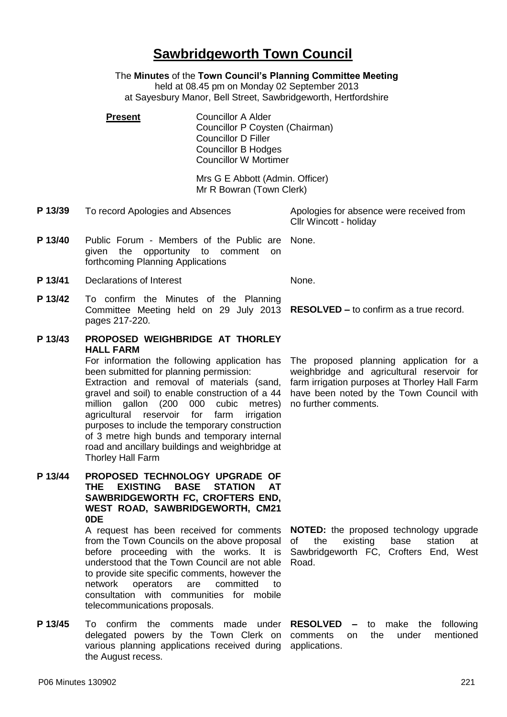## understood that the Town Council are not able

the August recess.

to provide site specific comments, however the network operators are committed to consultation with communities for mobile telecommunications proposals. **P 13/45** To confirm the comments made under **RESOLVED –** to make the following delegated powers by the Town Clerk on comments on

P06 Minutes 130902 221

agricultural reservoir for farm irrigation purposes to include the temporary construction of 3 metre high bunds and temporary internal road and ancillary buildings and weighbridge at Thorley Hall Farm **P 13/44 PROPOSED TECHNOLOGY UPGRADE OF THE EXISTING BASE STATION AT SAWBRIDGEWORTH FC, CROFTERS END, WEST ROAD, SAWBRIDGEWORTH, CM21 0DE**

> A request has been received for comments from the Town Councils on the above proposal before proceeding with the works. It is

been submitted for planning permission: Extraction and removal of materials (sand, gravel and soil) to enable construction of a 44 million gallon (200 000 cubic metres)

pages 217-220. **P 13/43 PROPOSED WEIGHBRIDGE AT THORLEY HALL FARM** For information the following application has

**P 13/41** Declarations of Interest None. **P 13/42** To confirm the Minutes of the Planning Committee Meeting held on 29 July 2013 **RESOLVED –** to confirm as a true record.

given the opportunity to comment on forthcoming Planning Applications

**Present** Councillor A Alder

**P 13/40** Public Forum - Members of the Public are

- Mrs G E Abbott (Admin. Officer) Mr R Bowran (Town Clerk)
- **P 13/39** To record Apologies and Absences Apologies for absence were received from Cllr Wincott - holiday

None.

The proposed planning application for a weighbridge and agricultural reservoir for farm irrigation purposes at Thorley Hall Farm have been noted by the Town Council with no further comments.

**NOTED:** the proposed technology upgrade of the existing base station at Sawbridgeworth FC, Crofters End, West Road.

various planning applications received during applications.the under mentioned

## **Sawbridgeworth Town Council**

The **Minutes** of the **Town Council's Planning Committee Meeting** held at 08.45 pm on Monday 02 September 2013 at Sayesbury Manor, Bell Street, Sawbridgeworth, Hertfordshire

Councillor P Coysten (Chairman)

Councillor D Filler Councillor B Hodges Councillor W Mortimer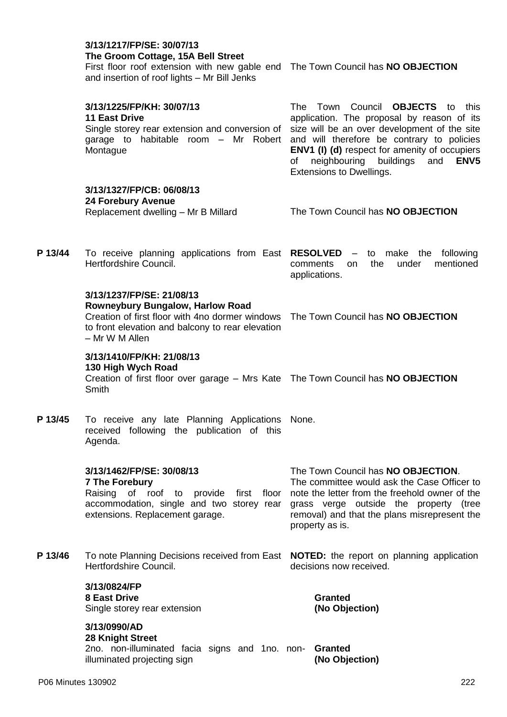## **3/13/1217/FP/SE: 30/07/13 The Groom Cottage, 15A Bell Street**

First floor roof extension with new gable end The Town Council has **NO OBJECTION** and insertion of roof lights – Mr Bill Jenks

|         | 3/13/1225/FP/KH: 30/07/13<br><b>11 East Drive</b><br>Single storey rear extension and conversion of<br>garage to habitable room - Mr Robert<br>Montague                                                                         | The Town Council <b>OBJECTS</b> to this<br>application. The proposal by reason of its<br>size will be an over development of the site<br>and will therefore be contrary to policies<br><b>ENV1 (I) (d)</b> respect for amenity of occupiers<br>buildings<br>neighbouring<br>and<br>ENV <sub>5</sub><br>of<br>Extensions to Dwellings. |
|---------|---------------------------------------------------------------------------------------------------------------------------------------------------------------------------------------------------------------------------------|---------------------------------------------------------------------------------------------------------------------------------------------------------------------------------------------------------------------------------------------------------------------------------------------------------------------------------------|
|         | 3/13/1327/FP/CB: 06/08/13<br><b>24 Forebury Avenue</b><br>Replacement dwelling - Mr B Millard                                                                                                                                   | The Town Council has NO OBJECTION                                                                                                                                                                                                                                                                                                     |
| P 13/44 | To receive planning applications from East RESOLVED - to make the following<br>Hertfordshire Council.                                                                                                                           | the<br>under<br>mentioned<br>comments<br>on.<br>applications.                                                                                                                                                                                                                                                                         |
|         | 3/13/1237/FP/SE: 21/08/13<br><b>Rowneybury Bungalow, Harlow Road</b><br>Creation of first floor with 4no dormer windows The Town Council has NO OBJECTION<br>to front elevation and balcony to rear elevation<br>- Mr W M Allen |                                                                                                                                                                                                                                                                                                                                       |
|         | 3/13/1410/FP/KH: 21/08/13<br>130 High Wych Road<br>Creation of first floor over garage - Mrs Kate The Town Council has NO OBJECTION<br>Smith                                                                                    |                                                                                                                                                                                                                                                                                                                                       |
| P 13/45 | To receive any late Planning Applications None.<br>received following the publication of this<br>Agenda.                                                                                                                        |                                                                                                                                                                                                                                                                                                                                       |
|         | 3/13/1462/FP/SE: 30/08/13<br><b>7 The Forebury</b><br>of roof to provide first floor<br>Raising<br>accommodation, single and two storey rear<br>extensions. Replacement garage.                                                 | The Town Council has NO OBJECTION.<br>The committee would ask the Case Officer to<br>note the letter from the freehold owner of the<br>grass verge outside the property (tree<br>removal) and that the plans misrepresent the<br>property as is.                                                                                      |
| P 13/46 | To note Planning Decisions received from East <b>NOTED:</b> the report on planning application<br>Hertfordshire Council.                                                                                                        | decisions now received.                                                                                                                                                                                                                                                                                                               |
|         | 3/13/0824/FP<br><b>8 East Drive</b><br>Single storey rear extension                                                                                                                                                             | <b>Granted</b><br>(No Objection)                                                                                                                                                                                                                                                                                                      |
|         | 3/13/0990/AD<br><b>28 Knight Street</b><br>2no. non-illuminated facia signs and 1no. non-<br>illuminated projecting sign                                                                                                        | <b>Granted</b><br>(No Objection)                                                                                                                                                                                                                                                                                                      |